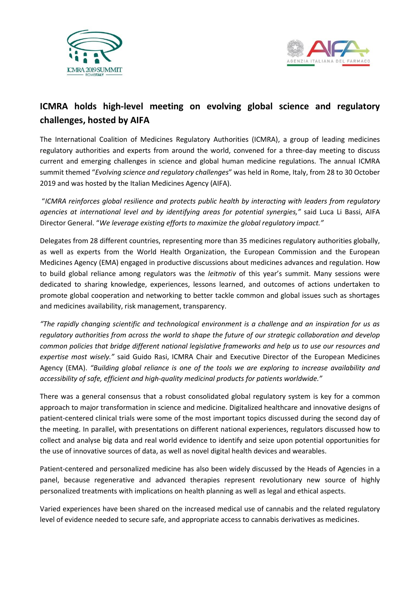



## **ICMRA holds high-level meeting on evolving global science and regulatory challenges, hosted by AIFA**

The International Coalition of Medicines Regulatory Authorities (ICMRA), a group of leading medicines regulatory authorities and experts from around the world, convened for a three-day meeting to discuss current and emerging challenges in science and global human medicine regulations. The annual ICMRA summit themed "*Evolving science and regulatory challenges*" was held in Rome, Italy, from 28 to 30 October 2019 and was hosted by the Italian Medicines Agency (AIFA).

"*ICMRA reinforces global resilience and protects public health by interacting with leaders from regulatory agencies at international level and by identifying areas for potential synergies,"* said Luca Li Bassi, AIFA Director General. "*We leverage existing efforts to maximize the global regulatory impact."* 

Delegates from 28 different countries, representing more than 35 medicines regulatory authorities globally, as well as experts from the World Health Organization, the European Commission and the European Medicines Agency (EMA) engaged in productive discussions about medicines advances and regulation. How to build global reliance among regulators was the *leitmotiv* of this year's summit. Many sessions were dedicated to sharing knowledge, experiences, lessons learned, and outcomes of actions undertaken to promote global cooperation and networking to better tackle common and global issues such as shortages and medicines availability, risk management, transparency.

*"The rapidly changing scientific and technological environment is a challenge and an inspiration for us as regulatory authorities from across the world to shape the future of our strategic collaboration and develop common policies that bridge different national legislative frameworks and help us to use our resources and expertise most wisely."* said Guido Rasi, ICMRA Chair and Executive Director of the European Medicines Agency (EMA). *"Building global reliance is one of the tools we are exploring to increase availability and accessibility of safe, efficient and high-quality medicinal products for patients worldwide."*

There was a general consensus that a robust consolidated global regulatory system is key for a common approach to major transformation in science and medicine. Digitalized healthcare and innovative designs of patient-centered clinical trials were some of the most important topics discussed during the second day of the meeting. In parallel, with presentations on different national experiences, regulators discussed how to collect and analyse big data and real world evidence to identify and seize upon potential opportunities for the use of innovative sources of data, as well as novel digital health devices and wearables.

Patient-centered and personalized medicine has also been widely discussed by the Heads of Agencies in a panel, because regenerative and advanced therapies represent revolutionary new source of highly personalized treatments with implications on health planning as well as legal and ethical aspects.

Varied experiences have been shared on the increased medical use of cannabis and the related regulatory level of evidence needed to secure safe, and appropriate access to cannabis derivatives as medicines.